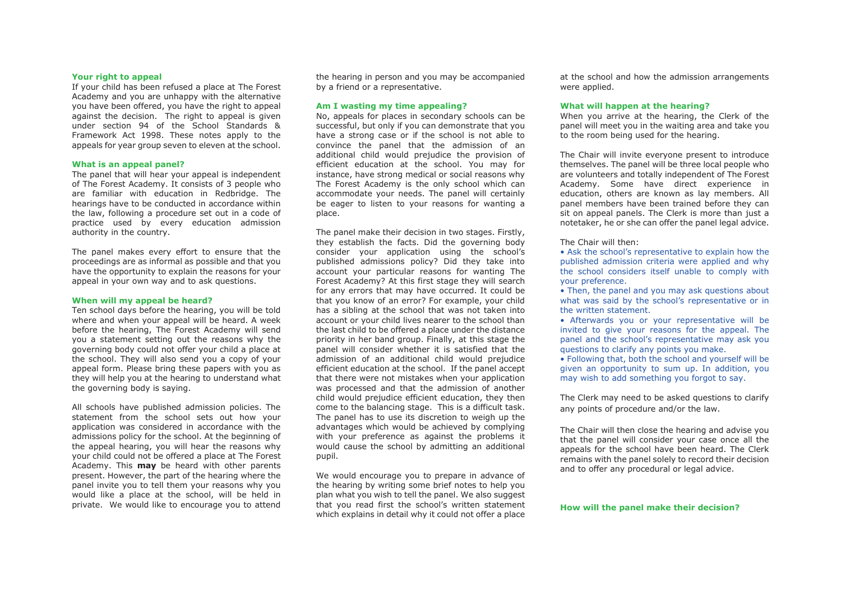### **Your right to appeal**

If your child has been refused a place at The Forest Academy and you are unhappy with the alternative you have been offered, you have the right to appeal against the decision. The right to appeal is given under section 94 of the School Standards & Framework Act 1998. These notes apply to the appeals for year group seven to eleven at the school.

#### **What is an appeal panel?**

The panel that will hear your appeal is independent of The Forest Academy. It consists of 3 people who are familiar with education in Redbridge. The hearings have to be conducted in accordance within the law, following a procedure set out in a code of practice used by every education admission authority in the country.

The panel makes every effort to ensure that the proceedings are as informal as possible and that you have the opportunity to explain the reasons for your appeal in your own way and to ask questions.

### **When will my appeal be heard?**

Ten school days before the hearing, you will be told where and when your appeal will be heard. A week before the hearing, The Forest Academy will send you a statement setting out the reasons why the governing body could not offer your child a place at the school. They will also send you a copy of your appeal form. Please bring these papers with you as they will help you at the hearing to understand what the governing body is saying.

All schools have published admission policies. The statement from the school sets out how your application was considered in accordance with the admissions policy for the school. At the beginning of the appeal hearing, you will hear the reasons why your child could not be offered a place at The Forest Academy. This **may** be heard with other parents present. However, the part of the hearing where the panel invite you to tell them your reasons why you would like a place at the school, will be held in private. We would like to encourage you to attend

the hearing in person and you may be accompanied by a friend or a representative.

## **Am I wasting my time appealing?**

No, appeals for places in secondary schools can be successful, but only if you can demonstrate that you have a strong case or if the school is not able to convince the panel that the admission of an additional child would prejudice the provision of efficient education at the school. You may for instance, have strong medical or social reasons why The Forest Academy is the only school which can accommodate your needs. The panel will certainly be eager to listen to your reasons for wanting a place.

The panel make their decision in two stages. Firstly, they establish the facts. Did the governing body consider your application using the school's published admissions policy? Did they take into account your particular reasons for wanting The Forest Academy? At this first stage they will search for any errors that may have occurred. It could be that you know of an error? For example, your child has a sibling at the school that was not taken into account or your child lives nearer to the school than the last child to be offered a place under the distance priority in her band group. Finally, at this stage the panel will consider whether it is satisfied that the admission of an additional child would prejudice efficient education at the school. If the panel accept that there were not mistakes when your application was processed and that the admission of another child would prejudice efficient education, they then come to the balancing stage. This is a difficult task. The panel has to use its discretion to weigh up the advantages which would be achieved by complying with your preference as against the problems it would cause the school by admitting an additional pupil.

We would encourage you to prepare in advance of the hearing by writing some brief notes to help you plan what you wish to tell the panel. We also suggest that you read first the school's written statement which explains in detail why it could not offer a place at the school and how the admission arrangements were applied.

#### **What will happen at the hearing?**

When you arrive at the hearing, the Clerk of the panel will meet you in the waiting area and take you to the room being used for the hearing.

The Chair will invite everyone present to introduce themselves. The panel will be three local people who are volunteers and totally independent of The Forest Academy. Some have direct experience in education, others are known as lay members. All panel members have been trained before they can sit on appeal panels. The Clerk is more than just a notetaker, he or she can offer the panel legal advice.

The Chair will then:

• Ask the school's representative to explain how the published admission criteria were applied and why the school considers itself unable to comply with your preference.

• Then, the panel and you may ask questions about what was said by the school's representative or in the written statement.

• Afterwards you or your representative will be invited to give your reasons for the appeal. The panel and the school's representative may ask you questions to clarify any points you make.

• Following that, both the school and yourself will be given an opportunity to sum up. In addition, you may wish to add something you forgot to say.

The Clerk may need to be asked questions to clarify any points of procedure and/or the law.

The Chair will then close the hearing and advise you that the panel will consider your case once all the appeals for the school have been heard. The Clerk remains with the panel solely to record their decision and to offer any procedural or legal advice.

## **How will the panel make their decision?**